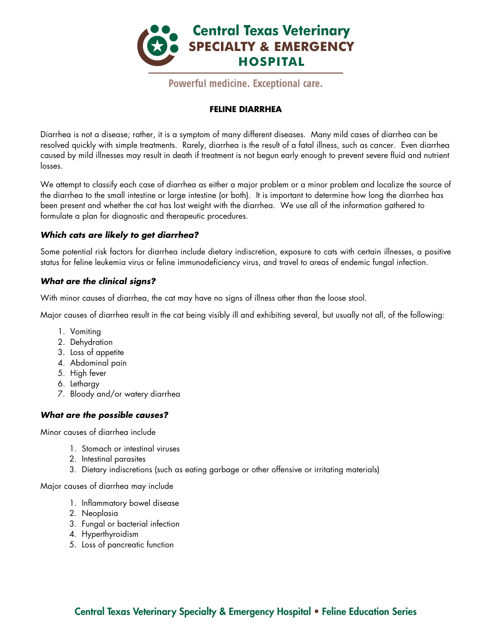

## **FELINE DIARRHEA**

Diarrhea is not a disease; rather, it is a symptom of many different diseases. Many mild cases of diarrhea can be resolved quickly with simple treatments. Rarely, diarrhea is the result of a fatal illness, such as cancer. Even diarrhea caused by mild illnesses may result in death if treatment is not begun early enough to prevent severe fluid and nutrient losses.

We attempt to classify each case of diarrhea as either a major problem or a minor problem and localize the source of the diarrhea to the small intestine or large intestine (or both). It is important to determine how long the diarrhea has been present and whether the cat has lost weight with the diarrhea. We use all of the information gathered to formulate a plan for diagnostic and therapeutic procedures.

## *Which cats are likely to get diarrhea?*

Some potential risk factors for diarrhea include dietary indiscretion, exposure to cats with certain illnesses, a positive status for feline leukemia virus or feline immunodeficiency virus, and travel to areas of endemic fungal infection.

## *What are the clinical signs?*

With minor causes of diarrhea, the cat may have no signs of illness other than the loose stool.

Major causes of diarrhea result in the cat being visibly ill and exhibiting several, but usually not all, of the following:

- 1. Vomiting
- 2. Dehydration
- 3. Loss of appetite
- 4. Abdominal pain
- 5. High fever
- 6. Lethargy
- 7. Bloody and/or watery diarrhea

## *What are the possible causes?*

Minor causes of diarrhea include

- 1. Stomach or intestinal viruses
- 2. Intestinal parasites
- 3. Dietary indiscretions (such as eating garbage or other offensive or irritating materials)

Major causes of diarrhea may include

- 1. Inflammatory bowel disease
- 2. Neoplasia
- 3. Fungal or bacterial infection
- 4. Hyperthyroidism
- 5. Loss of pancreatic function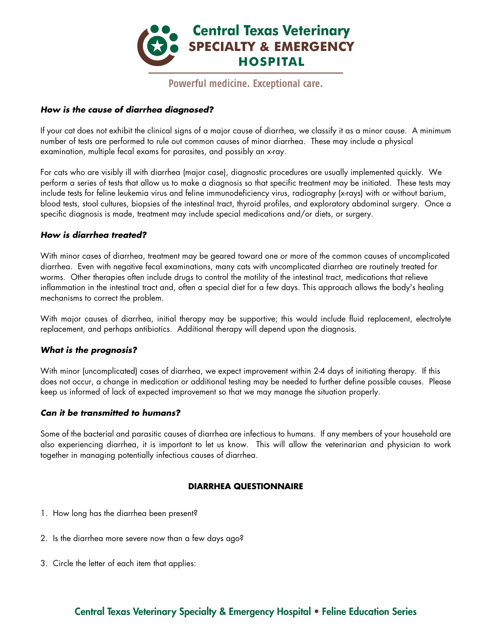

### *How is the cause of diarrhea diagnosed?*

If your cat does not exhibit the clinical signs of a major cause of diarrhea, we classify it as a minor cause. A minimum number of tests are performed to rule out common causes of minor diarrhea. These may include a physical examination, multiple fecal exams for parasites, and possibly an x-ray.

For cats who are visibly ill with diarrhea (major case), diagnostic procedures are usually implemented quickly. We perform a series of tests that allow us to make a diagnosis so that specific treatment may be initiated. These tests may include tests for feline leukemia virus and feline immunodeficiency virus, radiography (x-rays) with or without barium, blood tests, stool cultures, biopsies of the intestinal tract, thyroid profiles, and exploratory abdominal surgery. Once a specific diagnosis is made, treatment may include special medications and/or diets, or surgery.

### *How is diarrhea treated?*

With minor cases of diarrhea, treatment may be geared toward one or more of the common causes of uncomplicated diarrhea. Even with negative fecal examinations, many cats with uncomplicated diarrhea are routinely treated for worms. Other therapies often include drugs to control the motility of the intestinal tract, medications that relieve inflammation in the intestinal tract and, often a special diet for a few days. This approach allows the body's healing mechanisms to correct the problem.

With major causes of diarrhea, initial therapy may be supportive; this would include fluid replacement, electrolyte replacement, and perhaps antibiotics. Additional therapy will depend upon the diagnosis.

#### *What is the prognosis?*

With minor (uncomplicated) cases of diarrhea, we expect improvement within 2-4 days of initiating therapy. If this does not occur, a change in medication or additional testing may be needed to further define possible causes. Please keep us informed of lack of expected improvement so that we may manage the situation properly.

#### *Can it be transmitted to humans?*

Some of the bacterial and parasitic causes of diarrhea are infectious to humans. If any members of your household are also experiencing diarrhea, it is important to let us know. This will allow the veterinarian and physician to work together in managing potentially infectious causes of diarrhea.

## **DIARRHEA QUESTIONNAIRE**

- 1. How long has the diarrhea been present?
- 2. Is the diarrhea more severe now than a few days ago?
- 3. Circle the letter of each item that applies: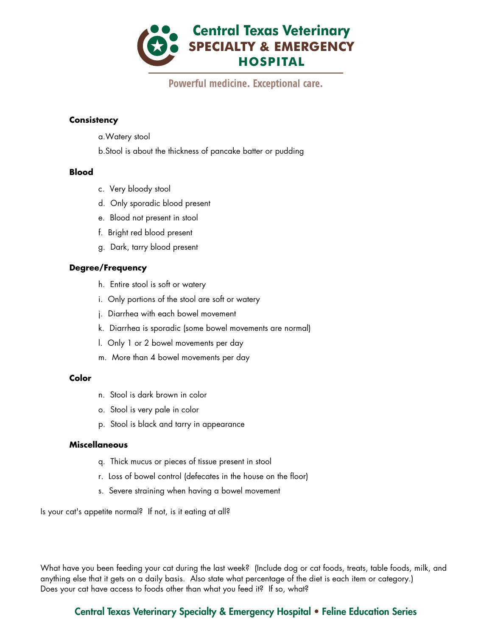

#### **Consistency**

- a.Watery stool
- b.Stool is about the thickness of pancake batter or pudding

#### **Blood**

- c. Very bloody stool
- d. Only sporadic blood present
- e. Blood not present in stool
- f. Bright red blood present
- g. Dark, tarry blood present

## **Degree/Frequency**

- h. Entire stool is soft or watery
- i. Only portions of the stool are soft or watery
- j. Diarrhea with each bowel movement
- k. Diarrhea is sporadic (some bowel movements are normal)
- l. Only 1 or 2 bowel movements per day
- m. More than 4 bowel movements per day

#### **Color**

- n. Stool is dark brown in color
- o. Stool is very pale in color
- p. Stool is black and tarry in appearance

#### **Miscellaneous**

- q. Thick mucus or pieces of tissue present in stool
- r. Loss of bowel control (defecates in the house on the floor)
- s. Severe straining when having a bowel movement

Is your cat's appetite normal? If not, is it eating at all?

What have you been feeding your cat during the last week? (Include dog or cat foods, treats, table foods, milk, and anything else that it gets on a daily basis. Also state what percentage of the diet is each item or category.) Does your cat have access to foods other than what you feed it? If so, what?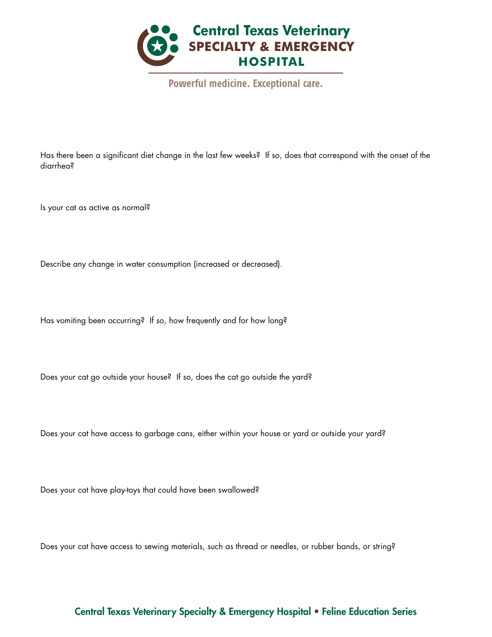

Has there been a significant diet change in the last few weeks? If so, does that correspond with the onset of the diarrhea?

Is your cat as active as normal?

Describe any change in water consumption (increased or decreased).

Has vomiting been occurring? If so, how frequently and for how long?

Does your cat go outside your house? If so, does the cat go outside the yard?

Does your cat have access to garbage cans, either within your house or yard or outside your yard?

Does your cat have play-toys that could have been swallowed?

Does your cat have access to sewing materials, such as thread or needles, or rubber bands, or string?